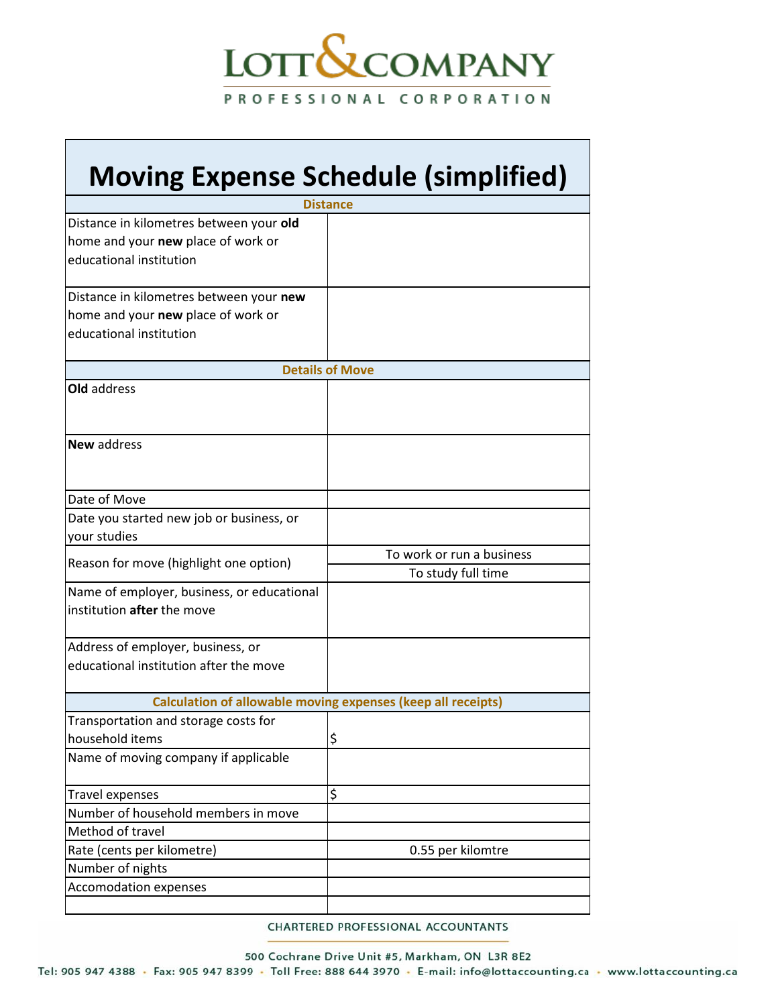## LOTT**&**COMPANY PROFESSIONAL CORPORATION

┑

| <b>Moving Expense Schedule (simplified)</b><br><b>Distance</b>                                           |                                                 |
|----------------------------------------------------------------------------------------------------------|-------------------------------------------------|
|                                                                                                          |                                                 |
| Distance in kilometres between your new<br>home and your new place of work or<br>educational institution |                                                 |
| <b>Details of Move</b>                                                                                   |                                                 |
| Old address                                                                                              |                                                 |
| <b>New address</b>                                                                                       |                                                 |
| Date of Move                                                                                             |                                                 |
| Date you started new job or business, or<br>your studies                                                 |                                                 |
| Reason for move (highlight one option)                                                                   | To work or run a business<br>To study full time |
| Name of employer, business, or educational<br>institution after the move                                 |                                                 |
| Address of employer, business, or<br>educational institution after the move                              |                                                 |
| Calculation of allowable moving expenses (keep all receipts)                                             |                                                 |
| Transportation and storage costs for<br>household items                                                  | \$                                              |
| Name of moving company if applicable                                                                     |                                                 |
| <b>Travel expenses</b>                                                                                   | \$                                              |
| Number of household members in move                                                                      |                                                 |
| Method of travel                                                                                         |                                                 |
| Rate (cents per kilometre)                                                                               | 0.55 per kilomtre                               |
| Number of nights                                                                                         |                                                 |
| <b>Accomodation expenses</b>                                                                             |                                                 |

CHARTERED PROFESSIONAL ACCOUNTANTS

500 Cochrane Drive Unit #5, Markham, ON L3R 8E2

Tel: 905 947 4388 · Fax: 905 947 8399 · Toll Free: 888 644 3970 · E-mail: info@lottaccounting.ca · www.lottaccounting.ca